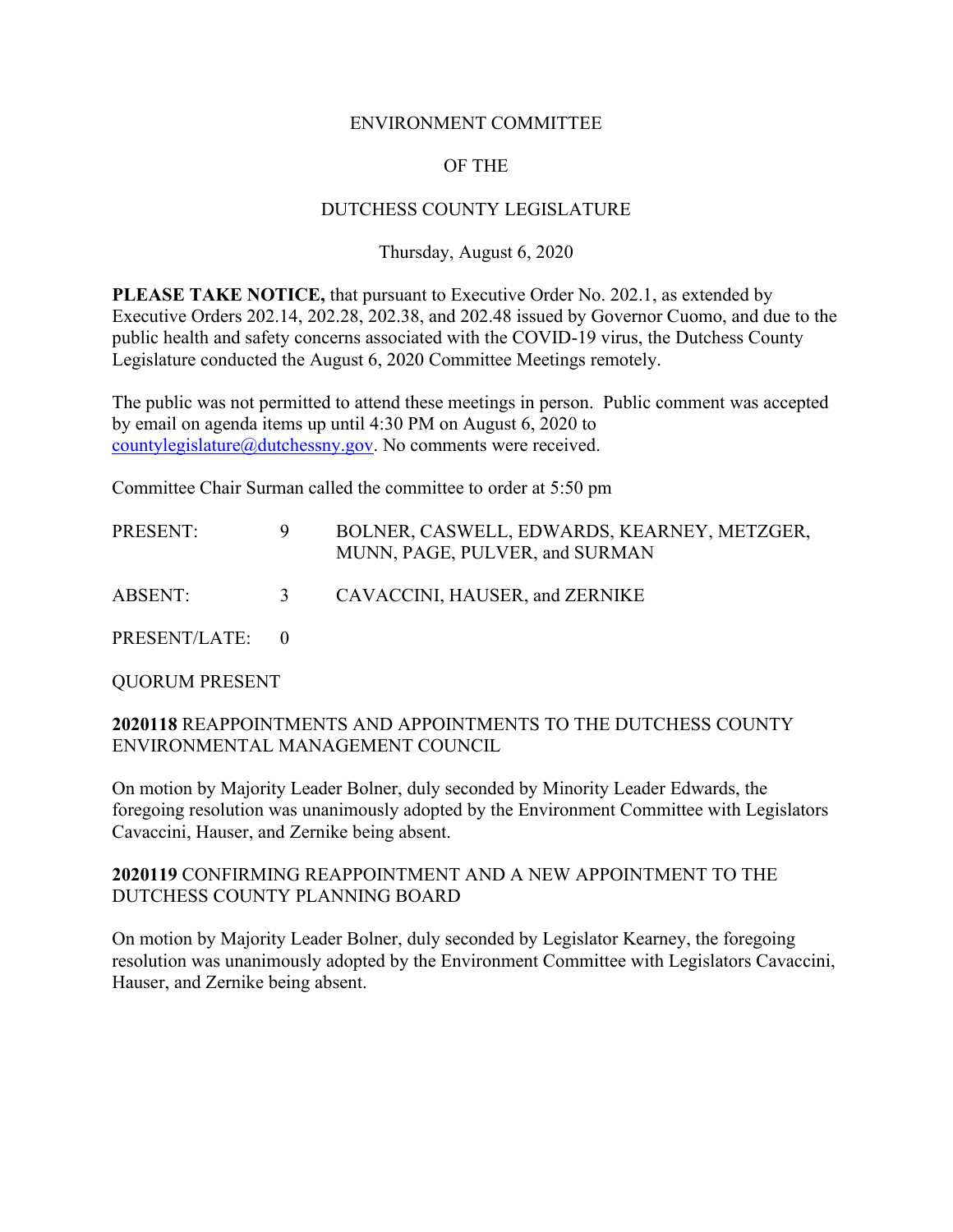#### ENVIRONMENT COMMITTEE

# OF THE

## DUTCHESS COUNTY LEGISLATURE

## Thursday, August 6, 2020

**PLEASE TAKE NOTICE,** that pursuant to Executive Order No. 202.1, as extended by Executive Orders 202.14, 202.28, 202.38, and 202.48 issued by Governor Cuomo, and due to the public health and safety concerns associated with the COVID-19 virus, the Dutchess County Legislature conducted the August 6, 2020 Committee Meetings remotely.

The public was not permitted to attend these meetings in person. Public comment was accepted by email on agenda items up until 4:30 PM on August 6, 2020 to countylegislature $@$ dutchessny.gov. No comments were received.

Committee Chair Surman called the committee to order at 5:50 pm

| <b>PRESENT:</b> |   | BOLNER, CASWELL, EDWARDS, KEARNEY, METZGER,<br>MUNN, PAGE, PULVER, and SURMAN |
|-----------------|---|-------------------------------------------------------------------------------|
| ABSENT:         | 3 | CAVACCINI, HAUSER, and ZERNIKE                                                |
| PRESENT/LATE: 0 |   |                                                                               |

QUORUM PRESENT

#### **2020118** REAPPOINTMENTS AND APPOINTMENTS TO THE DUTCHESS COUNTY ENVIRONMENTAL MANAGEMENT COUNCIL

On motion by Majority Leader Bolner, duly seconded by Minority Leader Edwards, the foregoing resolution was unanimously adopted by the Environment Committee with Legislators Cavaccini, Hauser, and Zernike being absent.

#### **2020119** CONFIRMING REAPPOINTMENT AND A NEW APPOINTMENT TO THE DUTCHESS COUNTY PLANNING BOARD

On motion by Majority Leader Bolner, duly seconded by Legislator Kearney, the foregoing resolution was unanimously adopted by the Environment Committee with Legislators Cavaccini, Hauser, and Zernike being absent.